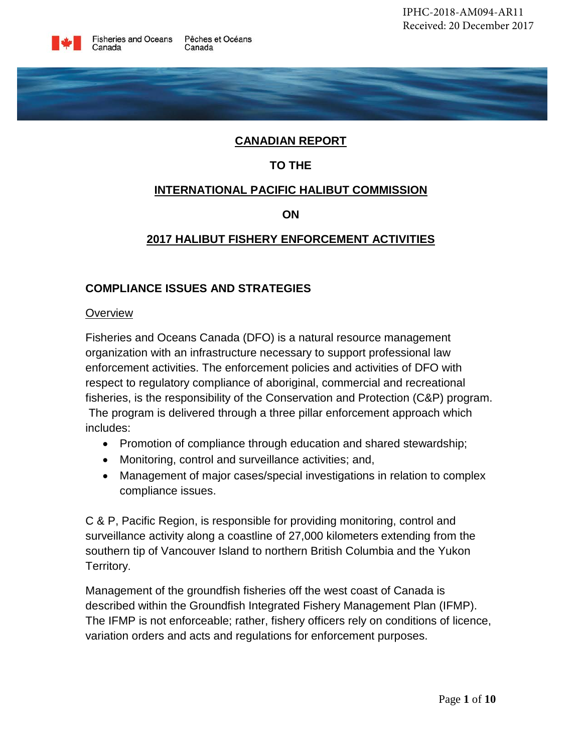

# **CANADIAN REPORT**

# **TO THE**

### **INTERNATIONAL PACIFIC HALIBUT COMMISSION**

**ON**

# **2017 HALIBUT FISHERY ENFORCEMENT ACTIVITIES**

### **COMPLIANCE ISSUES AND STRATEGIES**

#### **Overview**

Fisheries and Oceans Canada (DFO) is a natural resource management organization with an infrastructure necessary to support professional law enforcement activities. The enforcement policies and activities of DFO with respect to regulatory compliance of aboriginal, commercial and recreational fisheries, is the responsibility of the Conservation and Protection (C&P) program. The program is delivered through a three pillar enforcement approach which includes:

- Promotion of compliance through education and shared stewardship;
- Monitoring, control and surveillance activities; and,
- Management of major cases/special investigations in relation to complex compliance issues.

C & P, Pacific Region, is responsible for providing monitoring, control and surveillance activity along a coastline of 27,000 kilometers extending from the southern tip of Vancouver Island to northern British Columbia and the Yukon Territory.

Management of the groundfish fisheries off the west coast of Canada is described within the Groundfish Integrated Fishery Management Plan (IFMP). The IFMP is not enforceable; rather, fishery officers rely on conditions of licence, variation orders and acts and regulations for enforcement purposes.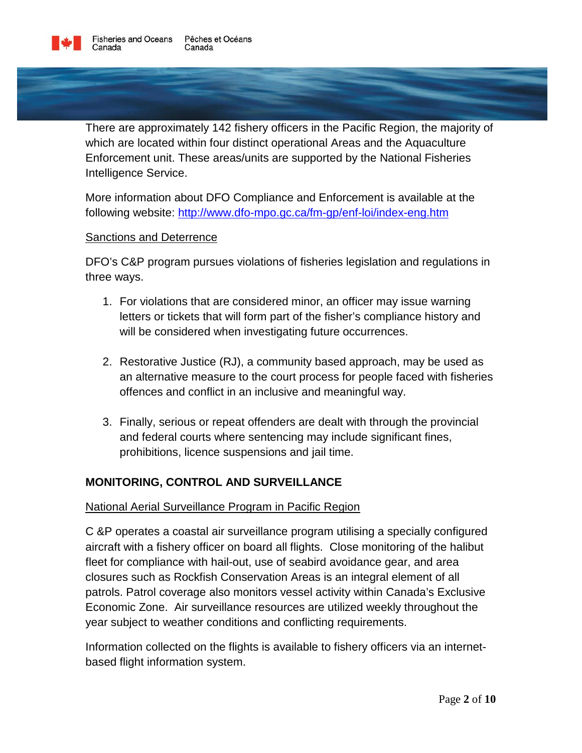

There are approximately 142 fishery officers in the Pacific Region, the majority of which are located within four distinct operational Areas and the Aquaculture Enforcement unit. These areas/units are supported by the National Fisheries Intelligence Service.

More information about DFO Compliance and Enforcement is available at the following website:<http://www.dfo-mpo.gc.ca/fm-gp/enf-loi/index-eng.htm>

### Sanctions and Deterrence

DFO's C&P program pursues violations of fisheries legislation and regulations in three ways.

- 1. For violations that are considered minor, an officer may issue warning letters or tickets that will form part of the fisher's compliance history and will be considered when investigating future occurrences.
- 2. Restorative Justice (RJ), a community based approach, may be used as an alternative measure to the court process for people faced with fisheries offences and conflict in an inclusive and meaningful way.
- 3. Finally, serious or repeat offenders are dealt with through the provincial and federal courts where sentencing may include significant fines, prohibitions, licence suspensions and jail time.

### **MONITORING, CONTROL AND SURVEILLANCE**

#### National Aerial Surveillance Program in Pacific Region

C &P operates a coastal air surveillance program utilising a specially configured aircraft with a fishery officer on board all flights. Close monitoring of the halibut fleet for compliance with hail-out, use of seabird avoidance gear, and area closures such as Rockfish Conservation Areas is an integral element of all patrols. Patrol coverage also monitors vessel activity within Canada's Exclusive Economic Zone. Air surveillance resources are utilized weekly throughout the year subject to weather conditions and conflicting requirements.

Information collected on the flights is available to fishery officers via an internetbased flight information system.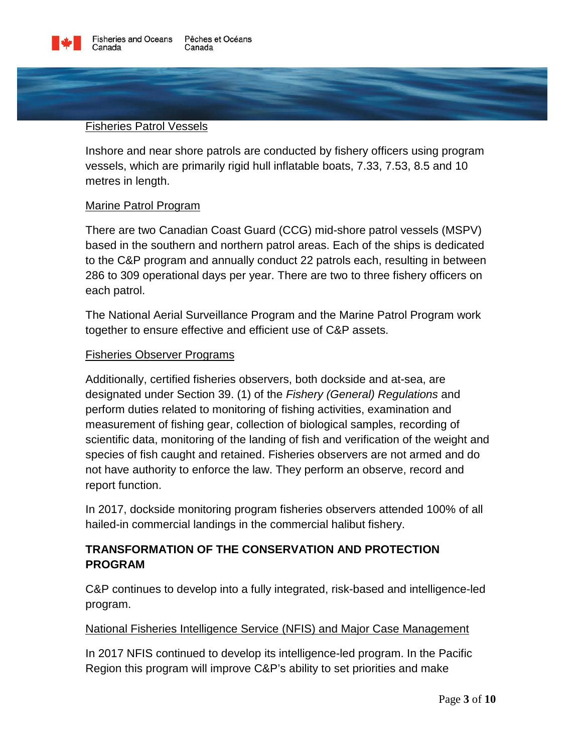

#### Fisheries Patrol Vessels

Inshore and near shore patrols are conducted by fishery officers using program vessels, which are primarily rigid hull inflatable boats, 7.33, 7.53, 8.5 and 10 metres in length.

#### Marine Patrol Program

There are two Canadian Coast Guard (CCG) mid-shore patrol vessels (MSPV) based in the southern and northern patrol areas. Each of the ships is dedicated to the C&P program and annually conduct 22 patrols each, resulting in between 286 to 309 operational days per year. There are two to three fishery officers on each patrol.

The National Aerial Surveillance Program and the Marine Patrol Program work together to ensure effective and efficient use of C&P assets.

#### Fisheries Observer Programs

Additionally, certified fisheries observers, both dockside and at-sea, are designated under Section 39. (1) of the *Fishery (General) Regulations* and perform duties related to monitoring of fishing activities, examination and measurement of fishing gear, collection of biological samples, recording of scientific data, monitoring of the landing of fish and verification of the weight and species of fish caught and retained. Fisheries observers are not armed and do not have authority to enforce the law. They perform an observe, record and report function.

In 2017, dockside monitoring program fisheries observers attended 100% of all hailed-in commercial landings in the commercial halibut fishery.

# **TRANSFORMATION OF THE CONSERVATION AND PROTECTION PROGRAM**

C&P continues to develop into a fully integrated, risk-based and intelligence-led program.

#### National Fisheries Intelligence Service (NFIS) and Major Case Management

In 2017 NFIS continued to develop its intelligence-led program. In the Pacific Region this program will improve C&P's ability to set priorities and make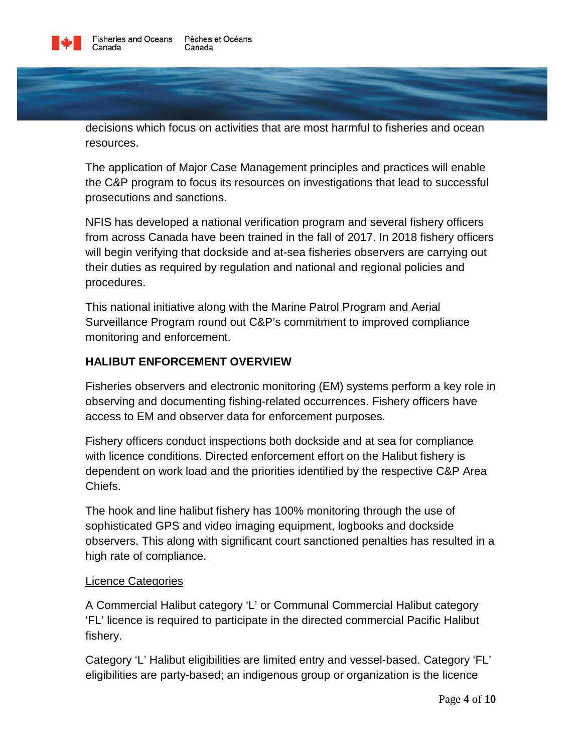

decisions which focus on activities that are most harmful to fisheries and ocean resources.

The application of Major Case Management principles and practices will enable the C&P program to focus its resources on investigations that lead to successful prosecutions and sanctions.

NFIS has developed a national verification program and several fishery officers from across Canada have been trained in the fall of 2017. In 2018 fishery officers will begin verifying that dockside and at-sea fisheries observers are carrying out their duties as required by regulation and national and regional policies and procedures.

This national initiative along with the Marine Patrol Program and Aerial Surveillance Program round out C&P's commitment to improved compliance monitoring and enforcement.

# **HALIBUT ENFORCEMENT OVERVIEW**

Fisheries observers and electronic monitoring (EM) systems perform a key role in observing and documenting fishing-related occurrences. Fishery officers have access to EM and observer data for enforcement purposes.

Fishery officers conduct inspections both dockside and at sea for compliance with licence conditions. Directed enforcement effort on the Halibut fishery is dependent on work load and the priorities identified by the respective C&P Area Chiefs.

The hook and line halibut fishery has 100% monitoring through the use of sophisticated GPS and video imaging equipment, logbooks and dockside observers. This along with significant court sanctioned penalties has resulted in a high rate of compliance.

### Licence Categories

A Commercial Halibut category 'L' or Communal Commercial Halibut category 'FL' licence is required to participate in the directed commercial Pacific Halibut fishery.

Category 'L' Halibut eligibilities are limited entry and vessel-based. Category 'FL' eligibilities are party-based; an indigenous group or organization is the licence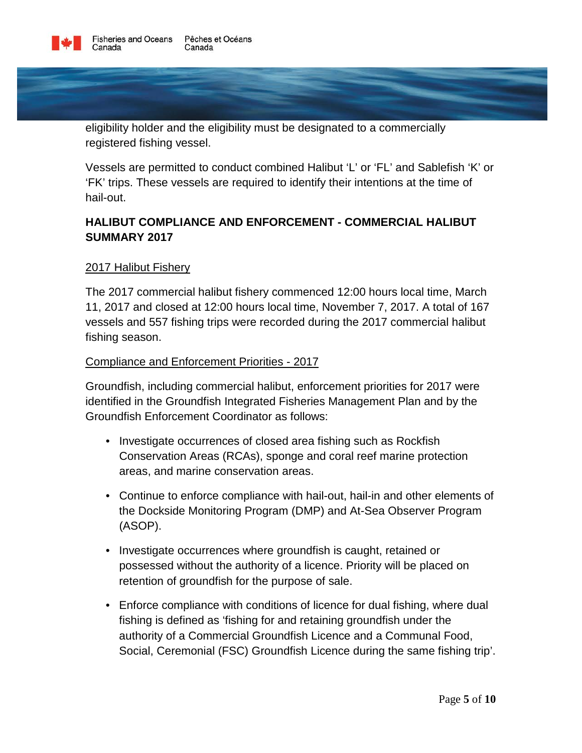

eligibility holder and the eligibility must be designated to a commercially registered fishing vessel.

Vessels are permitted to conduct combined Halibut 'L' or 'FL' and Sablefish 'K' or 'FK' trips. These vessels are required to identify their intentions at the time of hail-out.

# **HALIBUT COMPLIANCE AND ENFORCEMENT - COMMERCIAL HALIBUT SUMMARY 2017**

### 2017 Halibut Fishery

The 2017 commercial halibut fishery commenced 12:00 hours local time, March 11, 2017 and closed at 12:00 hours local time, November 7, 2017. A total of 167 vessels and 557 fishing trips were recorded during the 2017 commercial halibut fishing season.

### Compliance and Enforcement Priorities - 2017

Groundfish, including commercial halibut, enforcement priorities for 2017 were identified in the Groundfish Integrated Fisheries Management Plan and by the Groundfish Enforcement Coordinator as follows:

- Investigate occurrences of closed area fishing such as Rockfish Conservation Areas (RCAs), sponge and coral reef marine protection areas, and marine conservation areas.
- Continue to enforce compliance with hail-out, hail-in and other elements of the Dockside Monitoring Program (DMP) and At-Sea Observer Program (ASOP).
- Investigate occurrences where groundfish is caught, retained or possessed without the authority of a licence. Priority will be placed on retention of groundfish for the purpose of sale.
- Enforce compliance with conditions of licence for dual fishing, where dual fishing is defined as 'fishing for and retaining groundfish under the authority of a Commercial Groundfish Licence and a Communal Food, Social, Ceremonial (FSC) Groundfish Licence during the same fishing trip'.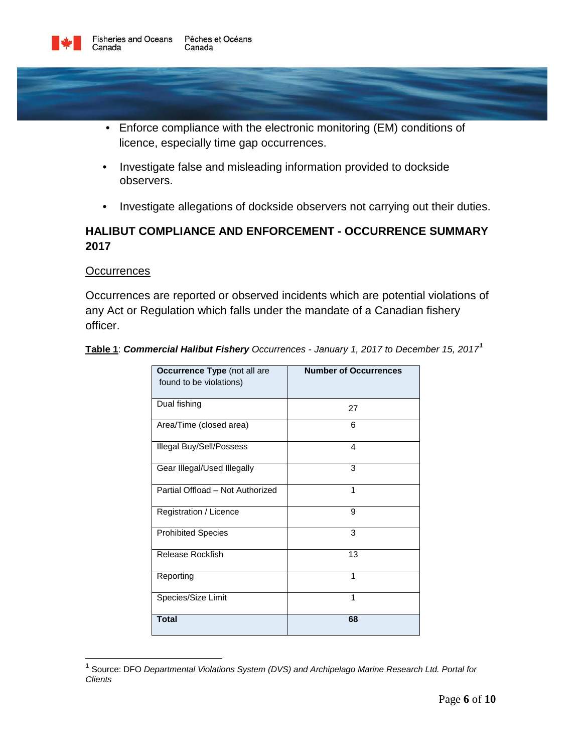

- Enforce compliance with the electronic monitoring (EM) conditions of licence, especially time gap occurrences.
- Investigate false and misleading information provided to dockside observers.
- Investigate allegations of dockside observers not carrying out their duties.

# **HALIBUT COMPLIANCE AND ENFORCEMENT - OCCURRENCE SUMMARY 2017**

#### **Occurrences**

Occurrences are reported or observed incidents which are potential violations of any Act or Regulation which falls under the mandate of a Canadian fishery officer.

| Occurrence Type (not all are<br>found to be violations) | <b>Number of Occurrences</b> |
|---------------------------------------------------------|------------------------------|
| Dual fishing                                            | 27                           |
| Area/Time (closed area)                                 | 6                            |
| Illegal Buy/Sell/Possess                                | 4                            |
| Gear Illegal/Used Illegally                             | 3                            |
| Partial Offload - Not Authorized                        | 1                            |
| Registration / Licence                                  | 9                            |
| <b>Prohibited Species</b>                               | 3                            |
| Release Rockfish                                        | 13                           |
| Reporting                                               | 1                            |
| Species/Size Limit                                      | 1                            |
| <b>Total</b>                                            | 68                           |

**Table 1**: *Commercial Halibut Fishery Occurrences - January 1, 2017 to December 15, 2017[1](#page-5-0)*

<span id="page-5-0"></span>**<sup>1</sup>** Source: DFO *Departmental Violations System (DVS) and Archipelago Marine Research Ltd. Portal for Clients*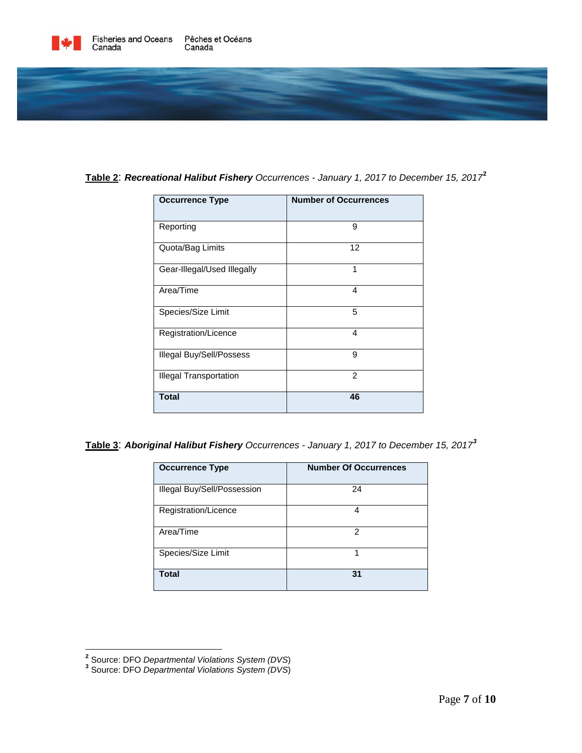



| Table 2: Recreational Halibut Fishery Occurrences - January 1, 2017 to December 15, 2017 <sup>2</sup> |  |  |  |
|-------------------------------------------------------------------------------------------------------|--|--|--|
|-------------------------------------------------------------------------------------------------------|--|--|--|

| <b>Occurrence Type</b>        | <b>Number of Occurrences</b> |
|-------------------------------|------------------------------|
| Reporting                     | 9                            |
| Quota/Bag Limits              | 12                           |
| Gear-Illegal/Used Illegally   | 1                            |
| Area/Time                     | 4                            |
| Species/Size Limit            | 5                            |
| Registration/Licence          | 4                            |
| Illegal Buy/Sell/Possess      | 9                            |
| <b>Illegal Transportation</b> | 2                            |
| <b>Total</b>                  | 46                           |

**Table 3**: *Aboriginal Halibut Fishery Occurrences - January 1, 2017 to December 15, 2017[3](#page-6-1)*

| <b>Occurrence Type</b>      | <b>Number Of Occurrences</b> |
|-----------------------------|------------------------------|
| Illegal Buy/Sell/Possession | 24                           |
| Registration/Licence        | 4                            |
| Area/Time                   | 2                            |
| Species/Size Limit          | 1                            |
| <b>Total</b>                | 31                           |

<span id="page-6-0"></span>**<sup>2</sup>** Source: DFO *Departmental Violations System (DVS*) **<sup>3</sup>** Source: DFO *Departmental Violations System (DVS*)

<span id="page-6-1"></span>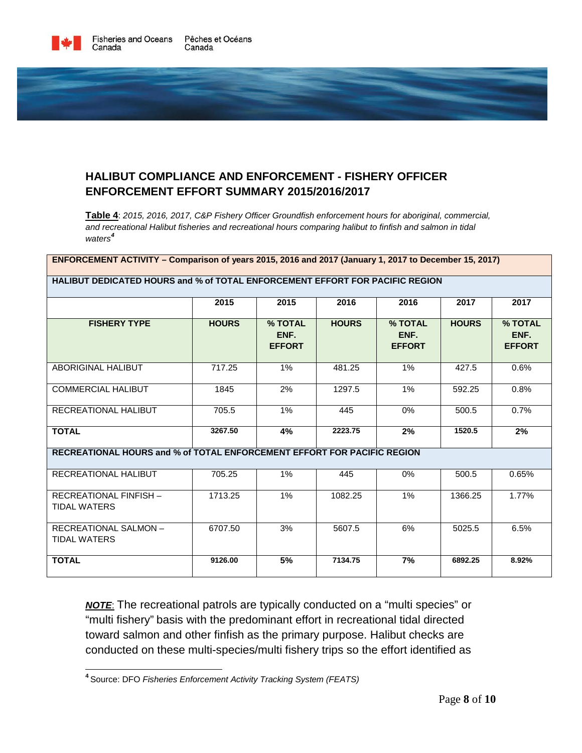

# **HALIBUT COMPLIANCE AND ENFORCEMENT - FISHERY OFFICER ENFORCEMENT EFFORT SUMMARY 2015/2016/2017**

**Table 4**: *2015, 2016, 2017, C&P Fishery Officer Groundfish enforcement hours for aboriginal, commercial, and recreational Halibut fisheries and recreational hours comparing halibut to finfish and salmon in tidal waters[4](#page-7-0)*

| ENFORCEMENT ACTIVITY – Comparison of years 2015, 2016 and 2017 (January 1, 2017 to December 15, 2017) |              |                                  |              |                                  |              |                                  |  |  |
|-------------------------------------------------------------------------------------------------------|--------------|----------------------------------|--------------|----------------------------------|--------------|----------------------------------|--|--|
| <b>HALIBUT DEDICATED HOURS and % of TOTAL ENFORCEMENT EFFORT FOR PACIFIC REGION</b>                   |              |                                  |              |                                  |              |                                  |  |  |
|                                                                                                       | 2015         | 2015                             | 2016         | 2016                             | 2017         | 2017                             |  |  |
| <b>FISHERY TYPE</b>                                                                                   | <b>HOURS</b> | % TOTAL<br>ENF.<br><b>EFFORT</b> | <b>HOURS</b> | % TOTAL<br>ENF.<br><b>EFFORT</b> | <b>HOURS</b> | % TOTAL<br>ENF.<br><b>EFFORT</b> |  |  |
| ABORIGINAL HALIBUT                                                                                    | 717.25       | 1%                               | 481.25       | 1%                               | 427.5        | 0.6%                             |  |  |
| <b>COMMERCIAL HALIBUT</b>                                                                             | 1845         | 2%                               | 1297.5       | 1%                               | 592.25       | 0.8%                             |  |  |
| RECREATIONAL HALIBUT                                                                                  | 705.5        | $1\%$                            | 445          | 0%                               | 500.5        | 0.7%                             |  |  |
| <b>TOTAL</b>                                                                                          | 3267.50      | 4%                               | 2223.75      | 2%                               | 1520.5       | 2%                               |  |  |
| RECREATIONAL HOURS and % of TOTAL ENFORCEMENT EFFORT FOR PACIFIC REGION                               |              |                                  |              |                                  |              |                                  |  |  |
| RECREATIONAL HALIBUT                                                                                  | 705.25       | $1\%$                            | 445          | $0\%$                            | 500.5        | 0.65%                            |  |  |
| <b>RECREATIONAL FINFISH -</b><br><b>TIDAL WATERS</b>                                                  | 1713.25      | 1%                               | 1082.25      | 1%                               | 1366.25      | 1.77%                            |  |  |
| <b>RECREATIONAL SALMON-</b><br><b>TIDAL WATERS</b>                                                    | 6707.50      | 3%                               | 5607.5       | 6%                               | 5025.5       | 6.5%                             |  |  |
| <b>TOTAL</b>                                                                                          | 9126.00      | 5%                               | 7134.75      | 7%                               | 6892.25      | 8.92%                            |  |  |

*NOTE*: The recreational patrols are typically conducted on a "multi species" or "multi fishery" basis with the predominant effort in recreational tidal directed toward salmon and other finfish as the primary purpose. Halibut checks are conducted on these multi-species/multi fishery trips so the effort identified as

<span id="page-7-0"></span>**<sup>4</sup>**Source: DFO *Fisheries Enforcement Activity Tracking System (FEATS)*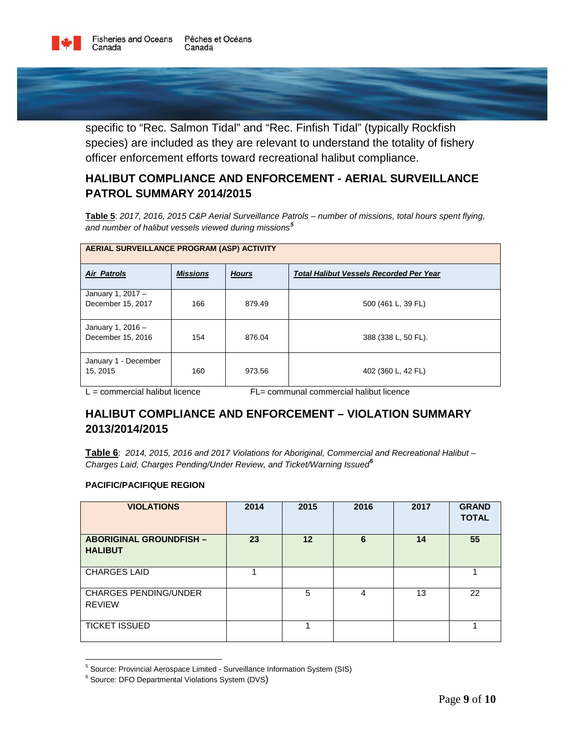

specific to "Rec. Salmon Tidal" and "Rec. Finfish Tidal" (typically Rockfish species) are included as they are relevant to understand the totality of fishery officer enforcement efforts toward recreational halibut compliance.

# **HALIBUT COMPLIANCE AND ENFORCEMENT - AERIAL SURVEILLANCE PATROL SUMMARY 2014/2015**

**Table 5**: *2017, 2016, 2015 C&P Aerial Surveillance Patrols – number of missions, total hours spent flying, and number of halibut vessels viewed during missions[5](#page-8-0)*

| AERIAL SURVEILLANCE PROGRAM (ASP) ACTIVITY |                 |              |                                                |  |  |  |
|--------------------------------------------|-----------------|--------------|------------------------------------------------|--|--|--|
| <b>Air Patrols</b>                         | <b>Missions</b> | <b>Hours</b> | <b>Total Halibut Vessels Recorded Per Year</b> |  |  |  |
| January 1, 2017 $-$<br>December 15, 2017   | 166             | 879.49       | 500 (461 L, 39 FL)                             |  |  |  |
| January 1, $2016 -$<br>December 15, 2016   | 154             | 876.04       | 388 (338 L, 50 FL).                            |  |  |  |
| January 1 - December<br>15, 2015           | 160             | 973.56       | 402 (360 L, 42 FL)                             |  |  |  |

 $L =$  commercial halibut licence  $L =$  communal commercial halibut licence

# **HALIBUT COMPLIANCE AND ENFORCEMENT – VIOLATION SUMMARY 2013/2014/2015**

**Table 6**: *2014, 2015, 2016 and 2017 Violations for Aboriginal, Commercial and Recreational Halibut – Charges Laid, Charges Pending/Under Review, and Ticket/Warning Issued[6](#page-8-1)*

#### **PACIFIC/PACIFIQUE REGION**

| <b>VIOLATIONS</b>                                | 2014 | 2015 | 2016 | 2017 | <b>GRAND</b><br><b>TOTAL</b> |
|--------------------------------------------------|------|------|------|------|------------------------------|
| <b>ABORIGINAL GROUNDFISH -</b><br><b>HALIBUT</b> | 23   | 12   | 6    | 14   | 55                           |
| <b>CHARGES LAID</b>                              |      |      |      |      |                              |
| <b>CHARGES PENDING/UNDER</b><br><b>REVIEW</b>    |      | 5    | 4    | 13   | 22                           |
| <b>TICKET ISSUED</b>                             |      |      |      |      |                              |

<span id="page-8-0"></span><sup>&</sup>lt;sup>5</sup> Source: Provincial Aerospace Limited - Surveillance Information System (SIS)

<span id="page-8-1"></span><sup>&</sup>lt;sup>6</sup> Source: DFO Departmental Violations System (DVS)